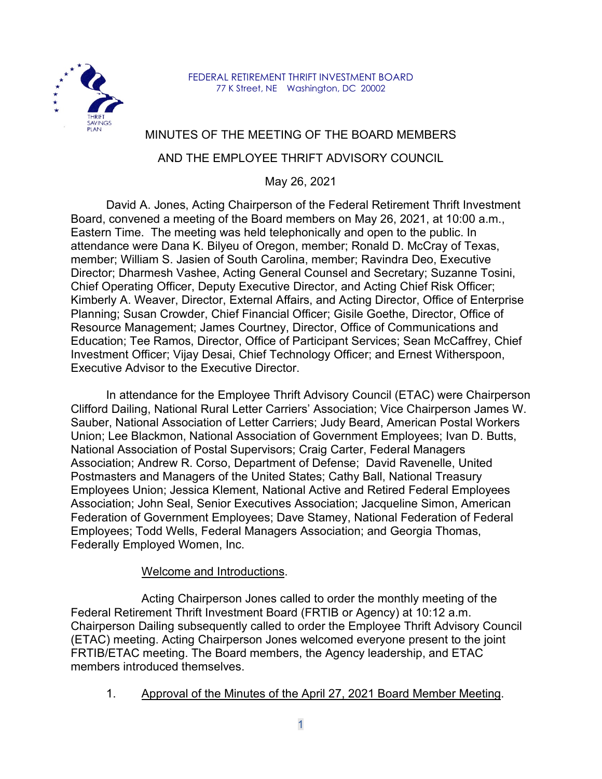

FEDERAL RETIREMENT THRIFT INVESTMENT BOARD 77 K Street, NE Washington, DC 20002

# MINUTES OF THE MEETING OF THE BOARD MEMBERS

## AND THE EMPLOYEE THRIFT ADVISORY COUNCIL

May 26, 2021

David A. Jones, Acting Chairperson of the Federal Retirement Thrift Investment Board, convened a meeting of the Board members on May 26, 2021, at 10:00 a.m., Eastern Time. The meeting was held telephonically and open to the public. In attendance were Dana K. Bilyeu of Oregon, member; Ronald D. McCray of Texas, member; William S. Jasien of South Carolina, member; Ravindra Deo, Executive Director; Dharmesh Vashee, Acting General Counsel and Secretary; Suzanne Tosini, Chief Operating Officer, Deputy Executive Director, and Acting Chief Risk Officer; Kimberly A. Weaver, Director, External Affairs, and Acting Director, Office of Enterprise Planning; Susan Crowder, Chief Financial Officer; Gisile Goethe, Director, Office of Resource Management; James Courtney, Director, Office of Communications and Education; Tee Ramos, Director, Office of Participant Services; Sean McCaffrey, Chief Investment Officer; Vijay Desai, Chief Technology Officer; and Ernest Witherspoon, Executive Advisor to the Executive Director.

In attendance for the Employee Thrift Advisory Council (ETAC) were Chairperson Clifford Dailing, National Rural Letter Carriers' Association; Vice Chairperson James W. Sauber, National Association of Letter Carriers; Judy Beard, American Postal Workers Union; Lee Blackmon, National Association of Government Employees; Ivan D. Butts, National Association of Postal Supervisors; Craig Carter, Federal Managers Association; Andrew R. Corso, Department of Defense; David Ravenelle, United Postmasters and Managers of the United States; Cathy Ball, National Treasury Employees Union; Jessica Klement, National Active and Retired Federal Employees Association; John Seal, Senior Executives Association; Jacqueline Simon, American Federation of Government Employees; Dave Stamey, National Federation of Federal Employees; Todd Wells, Federal Managers Association; and Georgia Thomas, Federally Employed Women, Inc.

#### Welcome and Introductions.

Acting Chairperson Jones called to order the monthly meeting of the Federal Retirement Thrift Investment Board (FRTIB or Agency) at 10:12 a.m. Chairperson Dailing subsequently called to order the Employee Thrift Advisory Council (ETAC) meeting. Acting Chairperson Jones welcomed everyone present to the joint FRTIB/ETAC meeting. The Board members, the Agency leadership, and ETAC members introduced themselves.

1. Approval of the Minutes of the April 27, 2021 Board Member Meeting.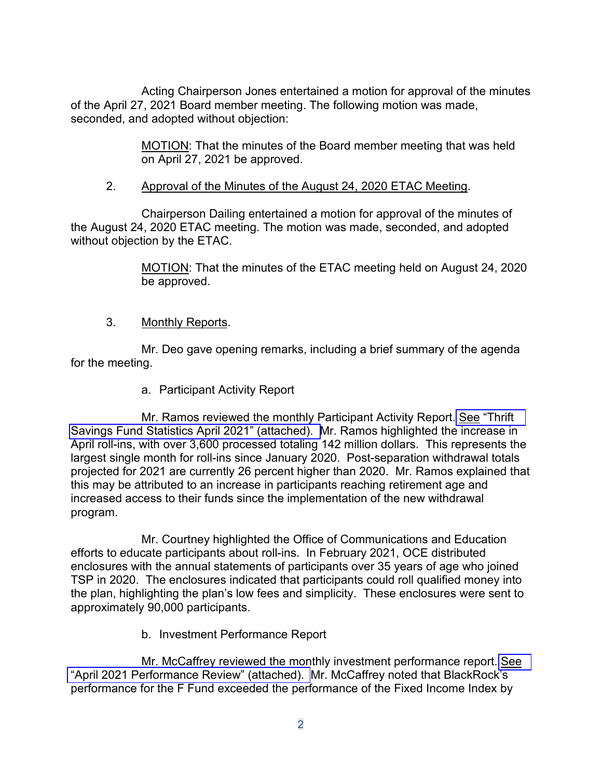Acting Chairperson Jones entertained a motion for approval of the minutes of the April 27, 2021 Board member meeting. The following motion was made, seconded, and adopted without objection:

> MOTION: That the minutes of the Board member meeting that was held on April 27, 2021 be approved.

## 2. Approval of the Minutes of the August 24, 2020 ETAC Meeting.

Chairperson Dailing entertained a motion for approval of the minutes of the August 24, 2020 ETAC meeting. The motion was made, seconded, and adopted without objection by the ETAC.

> MOTION: That the minutes of the ETAC meeting held on August 24, 2020 be approved.

### 3. Monthly Reports.

Mr. Deo gave opening remarks, including a brief summary of the agenda for the meeting.

a. Participant Activity Report

Mr. Ramos reviewed the monthly Participant Activity Report. See ["Thrift](https://www.frtib.gov/pdf/minutes/2021/May/MM-2021May-Att1.pdf)  Savings Fund Statistics [April 2021" \(attached\). M](https://www.frtib.gov/pdf/minutes/2021/May/MM-2021May-Att1.pdf)r. Ramos highlighted the increase in April roll-ins, with over 3,600 processed totaling 142 million dollars. This represents the largest single month for roll-ins since January 2020. Post-separation withdrawal totals projected for 2021 are currently 26 percent higher than 2020. Mr. Ramos explained that this may be attributed to an increase in participants reaching retirement age and increased access to their funds since the implementation of the new withdrawal program.

Mr. Courtney highlighted the Office of Communications and Education efforts to educate participants about roll-ins. In February 2021, OCE distributed enclosures with the annual statements of participants over 35 years of age who joined TSP in 2020. The enclosures indicated that participants could roll qualified money into the plan, highlighting the plan's low fees and simplicity. These enclosures were sent to approximately 90,000 participants.

b. Investment Performance Report

Mr. McCaffrey reviewed the monthly investment performance report. [See](https://www.frtib.gov/pdf/minutes/2021/May/MM-2021May-Att2.pdf) "April 2021 [Performance Review" \(attached\).](https://www.frtib.gov/pdf/minutes/2021/May/MM-2021May-Att2.pdf) Mr. McCaffrey noted that BlackRock's performance for the F Fund exceeded the performance of the Fixed Income Index by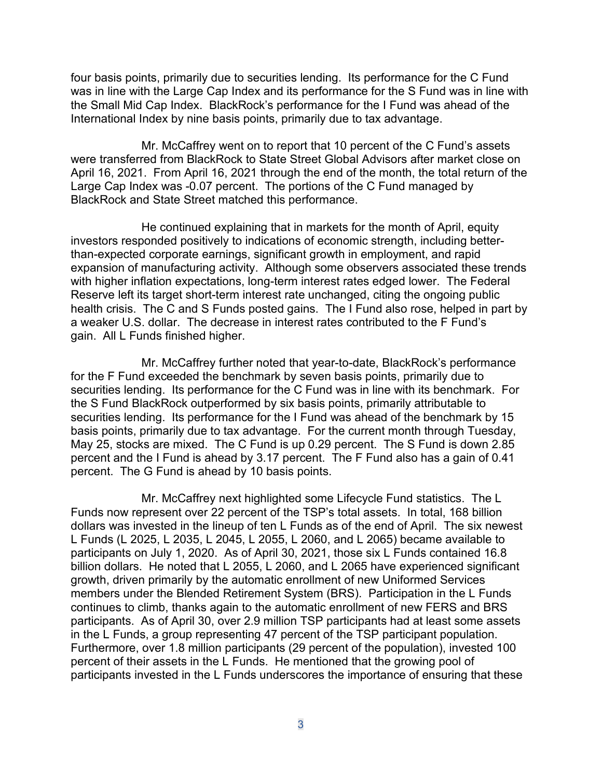four basis points, primarily due to securities lending. Its performance for the C Fund was in line with the Large Cap Index and its performance for the S Fund was in line with the Small Mid Cap Index. BlackRock's performance for the I Fund was ahead of the International Index by nine basis points, primarily due to tax advantage.

Mr. McCaffrey went on to report that 10 percent of the C Fund's assets were transferred from BlackRock to State Street Global Advisors after market close on April 16, 2021. From April 16, 2021 through the end of the month, the total return of the Large Cap Index was -0.07 percent. The portions of the C Fund managed by BlackRock and State Street matched this performance.

He continued explaining that in markets for the month of April, equity investors responded positively to indications of economic strength, including betterthan-expected corporate earnings, significant growth in employment, and rapid expansion of manufacturing activity. Although some observers associated these trends with higher inflation expectations, long-term interest rates edged lower. The Federal Reserve left its target short-term interest rate unchanged, citing the ongoing public health crisis. The C and S Funds posted gains. The I Fund also rose, helped in part by a weaker U.S. dollar. The decrease in interest rates contributed to the F Fund's gain. All L Funds finished higher.

Mr. McCaffrey further noted that year-to-date, BlackRock's performance for the F Fund exceeded the benchmark by seven basis points, primarily due to securities lending. Its performance for the C Fund was in line with its benchmark. For the S Fund BlackRock outperformed by six basis points, primarily attributable to securities lending. Its performance for the I Fund was ahead of the benchmark by 15 basis points, primarily due to tax advantage. For the current month through Tuesday, May 25, stocks are mixed. The C Fund is up 0.29 percent. The S Fund is down 2.85 percent and the I Fund is ahead by 3.17 percent. The F Fund also has a gain of 0.41 percent. The G Fund is ahead by 10 basis points.

Mr. McCaffrey next highlighted some Lifecycle Fund statistics. The L Funds now represent over 22 percent of the TSP's total assets. In total, 168 billion dollars was invested in the lineup of ten L Funds as of the end of April. The six newest L Funds (L 2025, L 2035, L 2045, L 2055, L 2060, and L 2065) became available to participants on July 1, 2020. As of April 30, 2021, those six L Funds contained 16.8 billion dollars. He noted that L 2055, L 2060, and L 2065 have experienced significant growth, driven primarily by the automatic enrollment of new Uniformed Services members under the Blended Retirement System (BRS). Participation in the L Funds continues to climb, thanks again to the automatic enrollment of new FERS and BRS participants. As of April 30, over 2.9 million TSP participants had at least some assets in the L Funds, a group representing 47 percent of the TSP participant population. Furthermore, over 1.8 million participants (29 percent of the population), invested 100 percent of their assets in the L Funds. He mentioned that the growing pool of participants invested in the L Funds underscores the importance of ensuring that these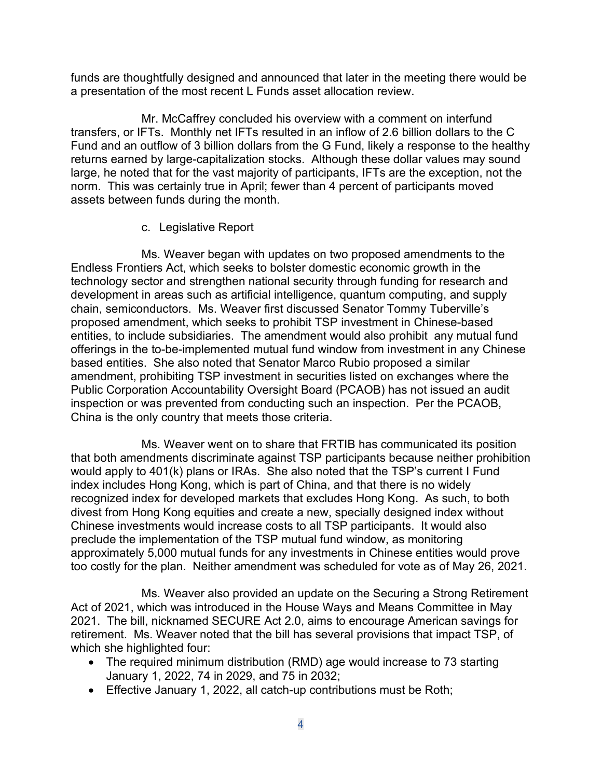funds are thoughtfully designed and announced that later in the meeting there would be a presentation of the most recent L Funds asset allocation review.

Mr. McCaffrey concluded his overview with a comment on interfund transfers, or IFTs. Monthly net IFTs resulted in an inflow of 2.6 billion dollars to the C Fund and an outflow of 3 billion dollars from the G Fund, likely a response to the healthy returns earned by large-capitalization stocks. Although these dollar values may sound large, he noted that for the vast majority of participants, IFTs are the exception, not the norm. This was certainly true in April; fewer than 4 percent of participants moved assets between funds during the month.

#### c. Legislative Report

Ms. Weaver began with updates on two proposed amendments to the Endless Frontiers Act, which seeks to bolster domestic economic growth in the technology sector and strengthen national security through funding for research and development in areas such as artificial intelligence, quantum computing, and supply chain, semiconductors. Ms. Weaver first discussed Senator Tommy Tuberville's proposed amendment, which seeks to prohibit TSP investment in Chinese-based entities, to include subsidiaries. The amendment would also prohibit any mutual fund offerings in the to-be-implemented mutual fund window from investment in any Chinese based entities. She also noted that Senator Marco Rubio proposed a similar amendment, prohibiting TSP investment in securities listed on exchanges where the Public Corporation Accountability Oversight Board (PCAOB) has not issued an audit inspection or was prevented from conducting such an inspection. Per the PCAOB, China is the only country that meets those criteria.

Ms. Weaver went on to share that FRTIB has communicated its position that both amendments discriminate against TSP participants because neither prohibition would apply to 401(k) plans or IRAs. She also noted that the TSP's current I Fund index includes Hong Kong, which is part of China, and that there is no widely recognized index for developed markets that excludes Hong Kong. As such, to both divest from Hong Kong equities and create a new, specially designed index without Chinese investments would increase costs to all TSP participants. It would also preclude the implementation of the TSP mutual fund window, as monitoring approximately 5,000 mutual funds for any investments in Chinese entities would prove too costly for the plan. Neither amendment was scheduled for vote as of May 26, 2021.

Ms. Weaver also provided an update on the Securing a Strong Retirement Act of 2021, which was introduced in the House Ways and Means Committee in May 2021. The bill, nicknamed SECURE Act 2.0, aims to encourage American savings for retirement. Ms. Weaver noted that the bill has several provisions that impact TSP, of which she highlighted four:

- The required minimum distribution (RMD) age would increase to 73 starting January 1, 2022, 74 in 2029, and 75 in 2032;
- Effective January 1, 2022, all catch-up contributions must be Roth;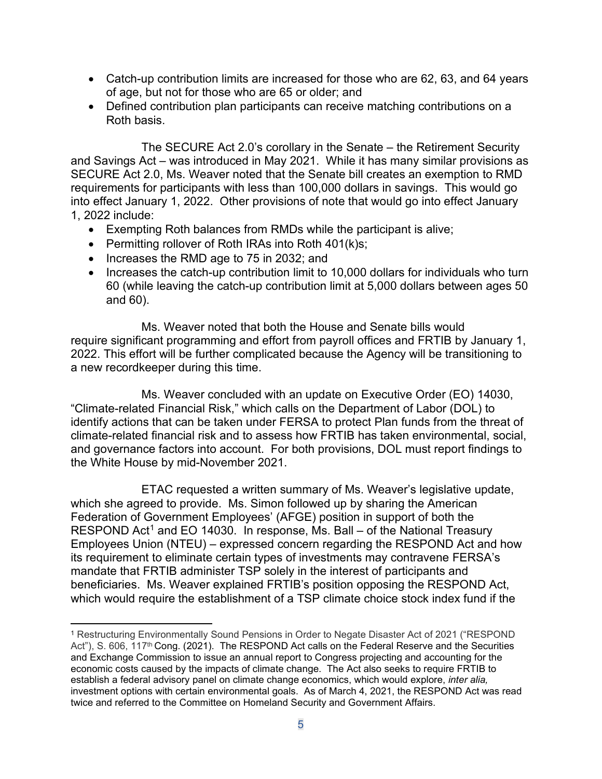- Catch-up contribution limits are increased for those who are 62, 63, and 64 years of age, but not for those who are 65 or older; and
- Defined contribution plan participants can receive matching contributions on a Roth basis.

The SECURE Act 2.0's corollary in the Senate – the Retirement Security and Savings Act – was introduced in May 2021. While it has many similar provisions as SECURE Act 2.0, Ms. Weaver noted that the Senate bill creates an exemption to RMD requirements for participants with less than 100,000 dollars in savings. This would go into effect January 1, 2022. Other provisions of note that would go into effect January 1, 2022 include:

- Exempting Roth balances from RMDs while the participant is alive;
- Permitting rollover of Roth IRAs into Roth 401(k)s;
- Increases the RMD age to 75 in 2032; and
- Increases the catch-up contribution limit to 10,000 dollars for individuals who turn 60 (while leaving the catch-up contribution limit at 5,000 dollars between ages 50 and 60).

Ms. Weaver noted that both the House and Senate bills would require significant programming and effort from payroll offices and FRTIB by January 1, 2022. This effort will be further complicated because the Agency will be transitioning to a new recordkeeper during this time.

Ms. Weaver concluded with an update on Executive Order (EO) 14030, "Climate-related Financial Risk," which calls on the Department of Labor (DOL) to identify actions that can be taken under FERSA to protect Plan funds from the threat of climate-related financial risk and to assess how FRTIB has taken environmental, social, and governance factors into account. For both provisions, DOL must report findings to the White House by mid-November 2021.

ETAC requested a written summary of Ms. Weaver's legislative update, which she agreed to provide. Ms. Simon followed up by sharing the American Federation of Government Employees' (AFGE) position in support of both the RESPOND Act<sup>[1](#page-4-0)</sup> and EO 14030. In response, Ms. Ball – of the National Treasury Employees Union (NTEU) – expressed concern regarding the RESPOND Act and how its requirement to eliminate certain types of investments may contravene FERSA's mandate that FRTIB administer TSP solely in the interest of participants and beneficiaries. Ms. Weaver explained FRTIB's position opposing the RESPOND Act, which would require the establishment of a TSP climate choice stock index fund if the

<span id="page-4-0"></span><sup>1</sup> Restructuring Environmentally Sound Pensions in Order to Negate Disaster Act of 2021 ("RESPOND Act"), S. 606, 117<sup>th</sup> Cong. (2021). The RESPOND Act calls on the Federal Reserve and the Securities and Exchange Commission to issue an annual report to Congress projecting and accounting for the economic costs caused by the impacts of climate change. The Act also seeks to require FRTIB to establish a federal advisory panel on climate change economics, which would explore, *inter alia,*  investment options with certain environmental goals. As of March 4, 2021, the RESPOND Act was read twice and referred to the Committee on Homeland Security and Government Affairs.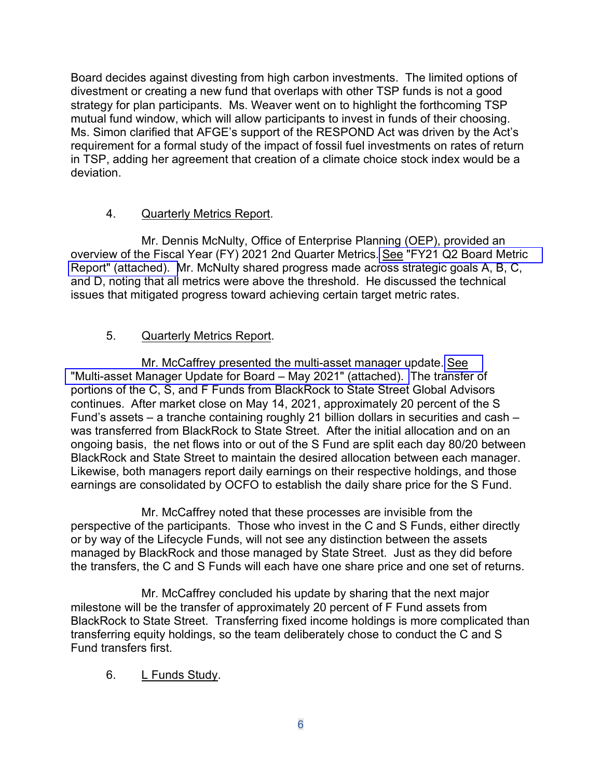Board decides against divesting from high carbon investments. The limited options of divestment or creating a new fund that overlaps with other TSP funds is not a good strategy for plan participants. Ms. Weaver went on to highlight the forthcoming TSP mutual fund window, which will allow participants to invest in funds of their choosing. Ms. Simon clarified that AFGE's support of the RESPOND Act was driven by the Act's requirement for a formal study of the impact of fossil fuel investments on rates of return in TSP, adding her agreement that creation of a climate choice stock index would be a deviation.

### 4. Quarterly Metrics Report.

Mr. Dennis McNulty, Office of Enterprise Planning (OEP), provided an overview of the Fiscal Year (FY) 2021 2nd Quarter Metrics. See "FY21 [Q2 Board Metric](https://www.frtib.gov/pdf/minutes/2021/May/MM-2021May-Att3.pdf)  [Report" \(attached\). M](https://www.frtib.gov/pdf/minutes/2021/May/MM-2021May-Att3.pdf)r. McNulty shared progress made across strategic goals A, B, C, and D, noting that all metrics were above the threshold. He discussed the technical issues that mitigated progress toward achieving certain target metric rates.

## 5. Quarterly Metrics Report.

Mr. McCaffrey presented the multi-asset manager update. [See](https://www.frtib.gov/pdf/minutes/2021/May/MM-2021May-Att4.pdf) "Multi-asset Manager Update [for Board – May 2021" \(attached\).](https://www.frtib.gov/pdf/minutes/2021/May/MM-2021May-Att4.pdf) The transfer of portions of the C, S, and F Funds from BlackRock to State Street Global Advisors continues. After market close on May 14, 2021, approximately 20 percent of the S Fund's assets – a tranche containing roughly 21 billion dollars in securities and cash – was transferred from BlackRock to State Street. After the initial allocation and on an ongoing basis, the net flows into or out of the S Fund are split each day 80/20 between BlackRock and State Street to maintain the desired allocation between each manager. Likewise, both managers report daily earnings on their respective holdings, and those earnings are consolidated by OCFO to establish the daily share price for the S Fund.

Mr. McCaffrey noted that these processes are invisible from the perspective of the participants. Those who invest in the C and S Funds, either directly or by way of the Lifecycle Funds, will not see any distinction between the assets managed by BlackRock and those managed by State Street. Just as they did before the transfers, the C and S Funds will each have one share price and one set of returns.

Mr. McCaffrey concluded his update by sharing that the next major milestone will be the transfer of approximately 20 percent of F Fund assets from BlackRock to State Street. Transferring fixed income holdings is more complicated than transferring equity holdings, so the team deliberately chose to conduct the C and S Fund transfers first.

6. L Funds Study.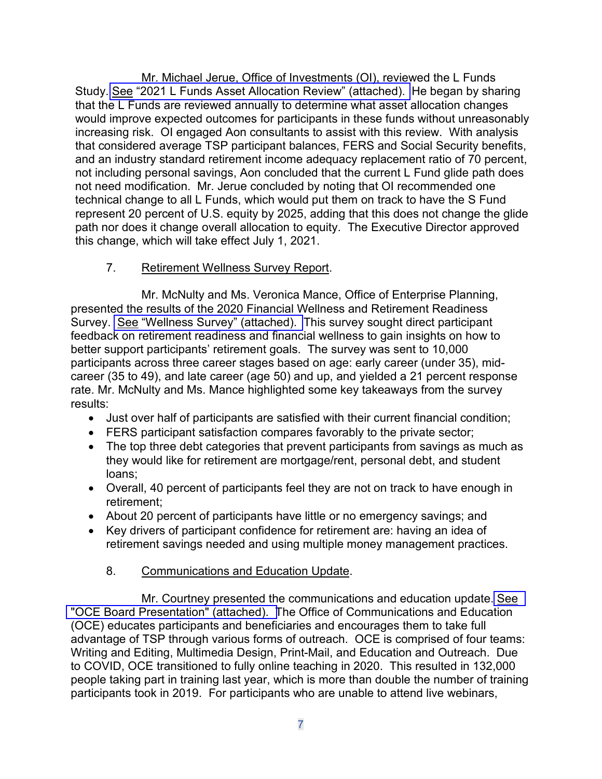Mr. Michael Jerue, Office of Investments (OI), reviewed the L Funds Study. See "2021 L [Funds Asset Allocation Review" \(attached\).](https://www.frtib.gov/pdf/minutes/2021/May/MM-2021May-Att5.pdf) He began by sharing that the L Funds are reviewed annually to determine what asset allocation changes would improve expected outcomes for participants in these funds without unreasonably increasing risk. OI engaged Aon consultants to assist with this review. With analysis that considered average TSP participant balances, FERS and Social Security benefits, and an industry standard retirement income adequacy replacement ratio of 70 percent, not including personal savings, Aon concluded that the current L Fund glide path does not need modification. Mr. Jerue concluded by noting that OI recommended one technical change to all L Funds, which would put them on track to have the S Fund represent 20 percent of U.S. equity by 2025, adding that this does not change the glide path nor does it change overall allocation to equity. The Executive Director approved this change, which will take effect July 1, 2021.

## 7. Retirement Wellness Survey Report.

Mr. McNulty and Ms. Veronica Mance, Office of Enterprise Planning, presented the results of the 2020 Financial Wellness and Retirement Readiness Survey. See ["Wellness Survey" \(attached\).](https://www.frtib.gov/pdf/minutes/2021/May/MM-2021May-Att6.pdf) This survey sought direct participant feedback on retirement readiness and financial wellness to gain insights on how to better support participants' retirement goals. The survey was sent to 10,000 participants across three career stages based on age: early career (under 35), midcareer (35 to 49), and late career (age 50) and up, and yielded a 21 percent response rate. Mr. McNulty and Ms. Mance highlighted some key takeaways from the survey results:

- Just over half of participants are satisfied with their current financial condition;
- FERS participant satisfaction compares favorably to the private sector;
- The top three debt categories that prevent participants from savings as much as they would like for retirement are mortgage/rent, personal debt, and student loans;
- Overall, 40 percent of participants feel they are not on track to have enough in retirement;
- About 20 percent of participants have little or no emergency savings; and
- Key drivers of participant confidence for retirement are: having an idea of retirement savings needed and using multiple money management practices.

# 8. Communications and Education Update.

Mr. Courtney presented the communications and education update. [See](https://www.frtib.gov/pdf/minutes/2021/May/MM-2021May-Att7.pdf) ["OCE Board Presentation" \(attached\). T](https://www.frtib.gov/pdf/minutes/2021/May/MM-2021May-Att7.pdf)he Office of Communications and Education (OCE) educates participants and beneficiaries and encourages them to take full advantage of TSP through various forms of outreach. OCE is comprised of four teams: Writing and Editing, Multimedia Design, Print-Mail, and Education and Outreach. Due to COVID, OCE transitioned to fully online teaching in 2020. This resulted in 132,000 people taking part in training last year, which is more than double the number of training participants took in 2019. For participants who are unable to attend live webinars,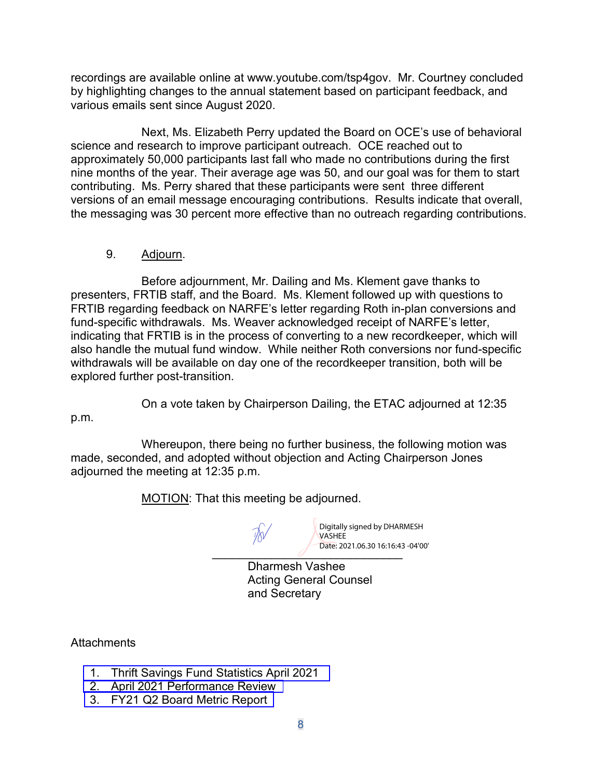recordings are available online at www.youtube.com/tsp4gov. Mr. Courtney concluded by highlighting changes to the annual statement based on participant feedback, and various emails sent since August 2020.

Next, Ms. Elizabeth Perry updated the Board on OCE's use of behavioral science and research to improve participant outreach. OCE reached out to approximately 50,000 participants last fall who made no contributions during the first nine months of the year. Their average age was 50, and our goal was for them to start contributing. Ms. Perry shared that these participants were sent three different versions of an email message encouraging contributions. Results indicate that overall, the messaging was 30 percent more effective than no outreach regarding contributions.

### 9. Adjourn.

Before adjournment, Mr. Dailing and Ms. Klement gave thanks to presenters, FRTIB staff, and the Board. Ms. Klement followed up with questions to FRTIB regarding feedback on NARFE's letter regarding Roth in-plan conversions and fund-specific withdrawals. Ms. Weaver acknowledged receipt of NARFE's letter, indicating that FRTIB is in the process of converting to a new recordkeeper, which will also handle the mutual fund window. While neither Roth conversions nor fund-specific withdrawals will be available on day one of the recordkeeper transition, both will be explored further post-transition.

On a vote taken by Chairperson Dailing, the ETAC adjourned at 12:35

p.m.

Whereupon, there being no further business, the following motion was made, seconded, and adopted without objection and Acting Chairperson Jones adjourned the meeting at 12:35 p.m.

MOTION: That this meeting be adjourned.

Digitally signed by DHARMESH VASHEE Date: 2021.06.30 16:16:43 -04'00'

 $\overline{\phantom{a}}$  back extraosist for  $\overline{\phantom{a}}$ Dharmesh Vashee Acting General Counsel and Secretary

**Attachments** 

- 1. Thrift Savings Fund Statistics [April 2021](https://www.frtib.gov/pdf/minutes/2021/May/MM-2021May-Att1.pdf)
- 2. April 2021 [Performance](https://www.frtib.gov/pdf/minutes/2021/May/MM-2021May-Att2.pdf) Review
- 3. [FY21 Q2 Board Metric Report](https://www.frtib.gov/pdf/minutes/2021/May/MM-2021May-Att3.pdf)